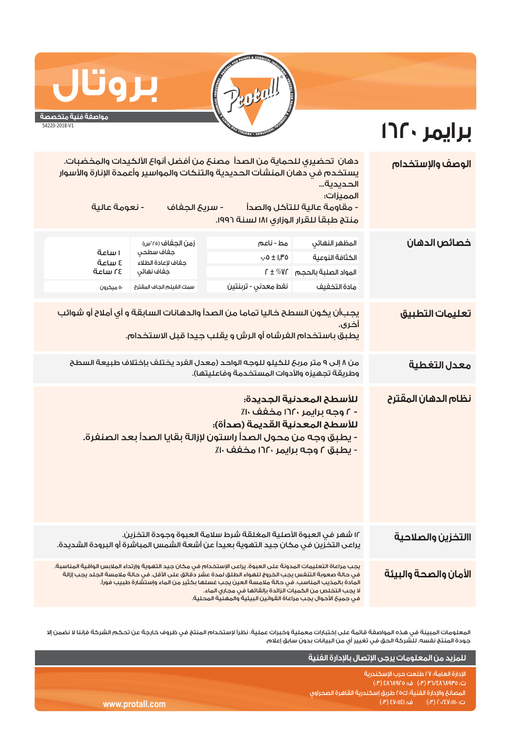

**برايمر ١٦٢٠** 

## **مواصفة فنية متخصصة**

**بروتال**

54220-2018-V1

## دهان تحضيري للحماية من الصدأ مصنع من أفضل أنواع الألكيدات والمخضبات. **الوصف والإستخدام** يستخدم في دهان المنشآت الحديدية والتنكات والمواسير وأعمدة الإنارة والأسوار الحديدية... المميزات: - مقاومة عالية للتآكل والصدأ - سريع الجفاف - نعومة عالية منتج طبقاً للقرار الوزاري ١٨١ لسنة .١٩٩٦ زمن الجفاف (°٢٥س) مط - ناعم **خصائص الدهان** المظهر النهائي ١ ساعة جفاف سطحي ٠٫٠٥ ± ١٫٣٥ الكثافة النوعية ٤ ساعة جفاف لإعادة الطلاء ٢٤ ساعة جفاف نهائي ٢ ± %٧٢ المواد الصلبة بالحجم ٥٠ ميكرون مادة التخفيف سمك الفيلم الجاف المقترح نفط معدني - تربنتين يجبأن يكون السطح خاليا تماما من الصدأ والدهانات السابقة و أي أملاح أو شوائب **تعليمات التطبيق** أخرى. يطبق باستخدام الفرشاه أو الرش و يقلب جيدا قبل الاستخدام. من ٨ إلى ٩ متر مربع للكيلو للوجه الواحد (معدل الفرد يختلف بإختلاف طبيعة السطح **معدل التغطية**  وطريقة تجهيزه والأدوات المستخدمة وفاعليتها). للأسطح المعدنية الجديدة: **نظام الدهان المقترح** - ٢ وحه برايمر ١٦٢٠ مخفف ١٠٪ للأسطح المعدنية القديمة (صدأة): - يطبق وجه من محول الصدأ راستون لإزالة بقايا الصدأ بعد الصنفرة. - يطبق ٢ وجه برايمر ١٦٢٠ مخفف ١٠٪ ١٢ شهر في العبوة الأصلية المغلقة شرط سلامة العبوة وجودة التخزين. **االتخزين والصلاحية** يراعى التخزين في مكان جيد التهوية بعيداً عن أشعة الشمس المباشرة أو البرودة الشديدة. يجب مراعاة التعليمات المدونة على العبوة. يراعى الإستخدام في مكان جيد التهوية وإرتداء الملابس الواقية المناسبة. **الأمان والصحة والبيئة** في حالة صعوبة التنفس يجب الخروج للهواء الطلق لمدة عشر دقائق على الأقل. في حالة ملامسة الجلد يجب إزالة المادة بالمذيب المناسب. في حالة ملامسة العين يجب غسلها بكثير من الماء وإستشارة طبيب فوراً. لا يجب التخلص من الكميات الزائدة بإلقائها في مجاري الماء. في جميع الأحوال يجب مراعاة القوانين البيئية والمهنية المحلية.

.<br>المعلومات المبينة في هذه المواصفة قائمة على إختبارات معملية وخبرات عملية. نظراً لإستخدام المنتج في ظروف خارجة عن تحكم الشركة فإننا لا نضمن إلا جودة المنتج نفسه. للشركة الحق في تغيير أي من البيانات بدون سابق إعلام.

|                 | للمزيد من المعلومات يرجى الإتصال بالإدارة الفنية               |
|-----------------|----------------------------------------------------------------|
|                 | الادارة العامة؛ ٢٧ طلعت حرب الاسكندرية                         |
|                 | ت: ٥٣٩٨٢٨٦٨٧٣٥ (٣٠) ف: ٥٦٨٩٢٥ (٣٠)                             |
|                 | أالمصانع والإدارة الفنية؛ ك٢٥ طريق إسكندرية القاهرة الصحراوى ا |
| www.protall.com | رت: ۲۰/٤٧٠١١١٠ (۳)         ف: ۱٤٧٠١١٤١ (۳)  ا                  |